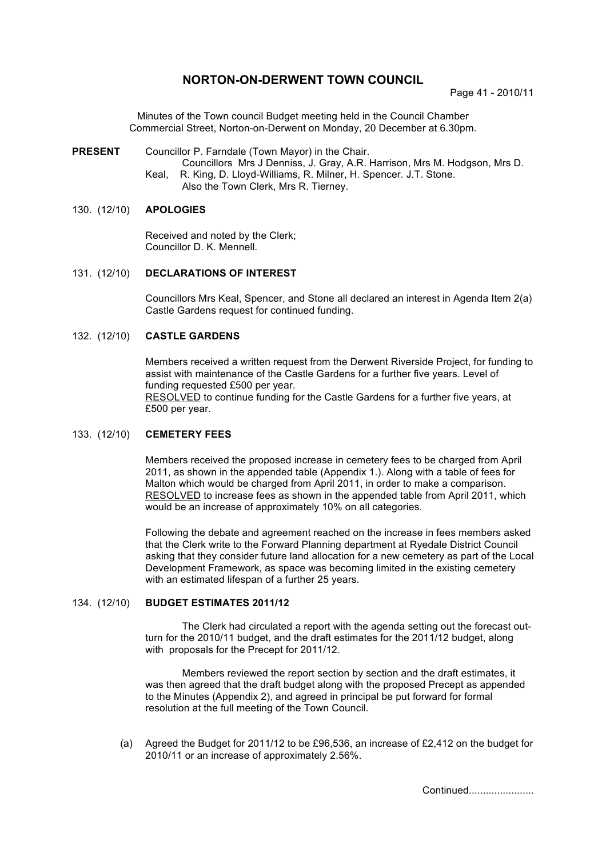# **NORTON-ON-DERWENT TOWN COUNCIL**

Page 41 - 2010/11

Minutes of the Town council Budget meeting held in the Council Chamber Commercial Street, Norton-on-Derwent on Monday, 20 December at 6.30pm.

#### **PRESENT** Councillor P. Farndale (Town Mayor) in the Chair.

Councillors Mrs J Denniss, J. Gray, A.R. Harrison, Mrs M. Hodgson, Mrs D. Keal, R. King, D. Lloyd-Williams, R. Milner, H. Spencer. J.T. Stone. Also the Town Clerk, Mrs R. Tierney.

## 130. (12/10) **APOLOGIES**

Received and noted by the Clerk; Councillor D. K. Mennell.

## 131. (12/10) **DECLARATIONS OF INTEREST**

Councillors Mrs Keal, Spencer, and Stone all declared an interest in Agenda Item 2(a) Castle Gardens request for continued funding.

### 132. (12/10) **CASTLE GARDENS**

Members received a written request from the Derwent Riverside Project, for funding to assist with maintenance of the Castle Gardens for a further five years. Level of funding requested £500 per year. RESOLVED to continue funding for the Castle Gardens for a further five years, at £500 per year.

#### 133. (12/10) **CEMETERY FEES**

Members received the proposed increase in cemetery fees to be charged from April 2011, as shown in the appended table (Appendix 1.). Along with a table of fees for Malton which would be charged from April 2011, in order to make a comparison. RESOLVED to increase fees as shown in the appended table from April 2011, which would be an increase of approximately 10% on all categories.

Following the debate and agreement reached on the increase in fees members asked that the Clerk write to the Forward Planning department at Ryedale District Council asking that they consider future land allocation for a new cemetery as part of the Local Development Framework, as space was becoming limited in the existing cemetery with an estimated lifespan of a further 25 years.

#### 134. (12/10) **BUDGET ESTIMATES 2011/12**

The Clerk had circulated a report with the agenda setting out the forecast outturn for the 2010/11 budget, and the draft estimates for the 2011/12 budget, along with proposals for the Precept for 2011/12.

Members reviewed the report section by section and the draft estimates, it was then agreed that the draft budget along with the proposed Precept as appended to the Minutes (Appendix 2), and agreed in principal be put forward for formal resolution at the full meeting of the Town Council.

 (a) Agreed the Budget for 2011/12 to be £96,536, an increase of £2,412 on the budget for 2010/11 or an increase of approximately 2.56%.

Continued.......................